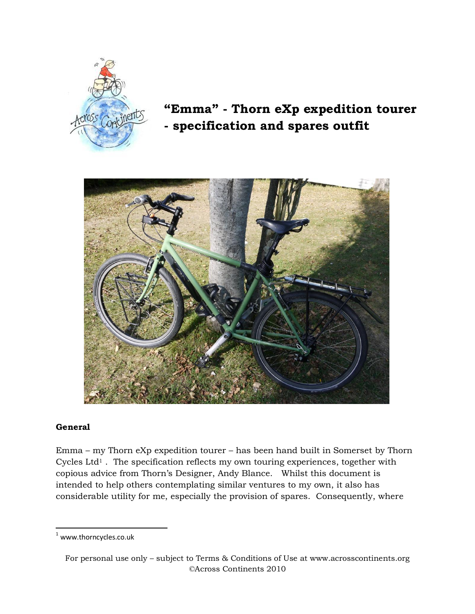

# **"Emma" - Thorn eXp expedition tourer - specification and spares outfit**



### **General**

 $\overline{\phantom{a}}$ 

Emma – my Thorn eXp expedition tourer – has been hand built in Somerset by Thorn Cycles Ltd<sup>1</sup>. The specification reflects my own touring experiences, together with copious advice from Thorn's Designer, Andy Blance. Whilst this document is intended to help others contemplating similar ventures to my own, it also has considerable utility for me, especially the provision of spares. Consequently, where

<sup>1</sup> www.thorncycles.co.uk

For personal use only – subject to Terms & Conditions of Use at www.acrosscontinents.org ©Across Continents 2010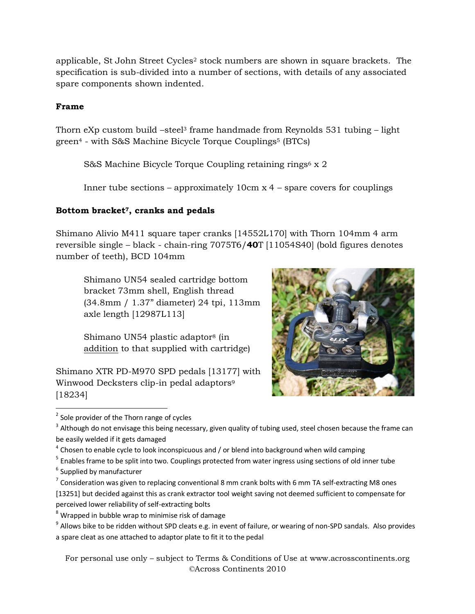applicable, St John Street Cycles<sup>2</sup> stock numbers are shown in square brackets. The specification is sub-divided into a number of sections, with details of any associated spare components shown indented.

## **Frame**

Thorn eXp custom build –steel<sup>3</sup> frame handmade from Reynolds 531 tubing – light green<sup>4</sup> - with S&S Machine Bicycle Torque Couplings<sup>5</sup> (BTCs)

S&S Machine Bicycle Torque Coupling retaining rings<sup>6</sup> x 2

Inner tube sections – approximately  $10 \text{cm} x 4$  – spare covers for couplings

# **Bottom bracket7, cranks and pedals**

Shimano Alivio M411 square taper cranks [14552L170] with Thorn 104mm 4 arm reversible single – black - chain-ring 7075T6/**40**T [11054S40] (bold figures denotes number of teeth), BCD 104mm

Shimano UN54 sealed cartridge bottom bracket 73mm shell, English thread (34.8mm / 1.37" diameter) 24 tpi, 113mm axle length [12987L113]

Shimano UN54 plastic adaptor<sup>8</sup> (in addition to that supplied with cartridge)

Shimano XTR PD-M970 SPD pedals [13177] with Winwood Decksters clip-in pedal adaptors<sup>9</sup> [18234]



- <sup>5</sup> Enables frame to be split into two. Couplings protected from water ingress using sections of old inner tube
- $<sup>6</sup>$  Supplied by manufacturer</sup>
- $^7$  Consideration was given to replacing conventional 8 mm crank bolts with 6 mm TA self-extracting M8 ones [13251] but decided against this as crank extractor tool weight saving not deemed sufficient to compensate for perceived lower reliability of self-extracting bolts
- $8$  Wrapped in bubble wrap to minimise risk of damage

For personal use only – subject to Terms & Conditions of Use at www.acrosscontinents.org ©Across Continents 2010

 $\overline{\phantom{a}}$ <sup>2</sup> Sole provider of the Thorn range of cycles

 $3$  Although do not envisage this being necessary, given quality of tubing used, steel chosen because the frame can be easily welded if it gets damaged

 $^4$  Chosen to enable cycle to look inconspicuous and / or blend into background when wild camping

<sup>&</sup>lt;sup>9</sup> Allows bike to be ridden without SPD cleats e.g. in event of failure, or wearing of non-SPD sandals. Also provides a spare cleat as one attached to adaptor plate to fit it to the pedal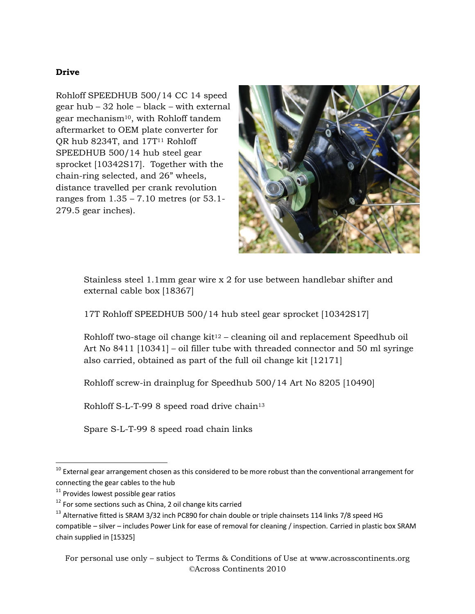## **Drive**

Rohloff SPEEDHUB 500/14 CC 14 speed gear hub – 32 hole – black – with external gear mechanism10, with Rohloff tandem aftermarket to OEM plate converter for QR hub 8234T, and 17T<sup>11</sup> Rohloff SPEEDHUB 500/14 hub steel gear sprocket [10342S17]. Together with the chain-ring selected, and 26" wheels, distance travelled per crank revolution ranges from 1.35 – 7.10 metres (or 53.1- 279.5 gear inches).



Stainless steel 1.1mm gear wire x 2 for use between handlebar shifter and external cable box [18367]

17T Rohloff SPEEDHUB 500/14 hub steel gear sprocket [10342S17]

Rohloff two-stage oil change  $kit^{12}$  – cleaning oil and replacement Speedhub oil Art No 8411 [10341] – oil filler tube with threaded connector and 50 ml syringe also carried, obtained as part of the full oil change kit [12171]

Rohloff screw-in drainplug for Speedhub 500/14 Art No 8205 [10490]

Rohloff S-L-T-99 8 speed road drive chain<sup>13</sup>

Spare S-L-T-99 8 speed road chain links

 $\overline{\phantom{a}}$ 

 $^{10}$  External gear arrangement chosen as this considered to be more robust than the conventional arrangement for connecting the gear cables to the hub

 $11$  Provides lowest possible gear ratios

 $12$  For some sections such as China, 2 oil change kits carried

 $13$  Alternative fitted is SRAM 3/32 inch PC890 for chain double or triple chainsets 114 links 7/8 speed HG compatible – silver – includes Power Link for ease of removal for cleaning / inspection. Carried in plastic box SRAM chain supplied in [15325]

For personal use only – subject to Terms & Conditions of Use at www.acrosscontinents.org ©Across Continents 2010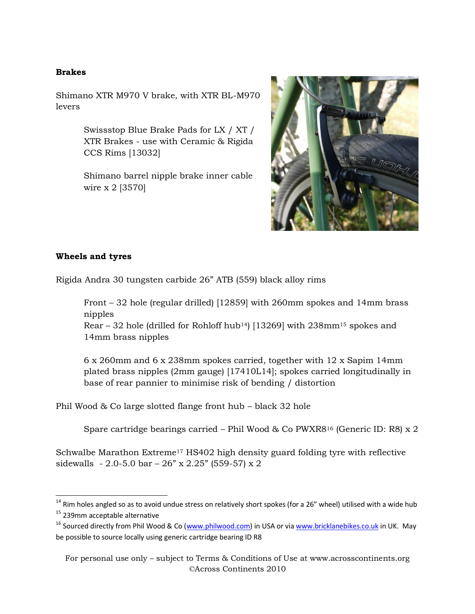## **Brakes**

Shimano XTR M970 V brake, with XTR BL-M970 levers

> Swissstop Blue Brake Pads for LX / XT / XTR Brakes - use with Ceramic & Rigida CCS Rims [13032]

Shimano barrel nipple brake inner cable wire x 2 [3570]



### **Wheels and tyres**

 $\overline{\phantom{a}}$ 

Rigida Andra 30 tungsten carbide 26" ATB (559) black alloy rims

Front – 32 hole (regular drilled) [12859] with 260mm spokes and 14mm brass nipples Rear – 32 hole (drilled for Rohloff hub<sup>14</sup>) [13269] with  $238$ mm<sup>15</sup> spokes and 14mm brass nipples

6 x 260mm and 6 x 238mm spokes carried, together with 12 x Sapim 14mm plated brass nipples (2mm gauge) [17410L14]; spokes carried longitudinally in base of rear pannier to minimise risk of bending / distortion

Phil Wood & Co large slotted flange front hub – black 32 hole

Spare cartridge bearings carried – Phil Wood & Co PWXR8<sup>16</sup> (Generic ID: R8) x 2

Schwalbe Marathon Extreme<sup>17</sup> HS402 high density guard folding tyre with reflective sidewalls - 2.0-5.0 bar –  $26$ " x 2.25" (559-57) x 2

For personal use only – subject to Terms & Conditions of Use at www.acrosscontinents.org ©Across Continents 2010

 $^{14}$  Rim holes angled so as to avoid undue stress on relatively short spokes (for a 26" wheel) utilised with a wide hub <sup>15</sup> 239mm acceptable alternative

<sup>&</sup>lt;sup>16</sup> Sourced directly from Phil Wood & Co [\(www.philwood.com\)](http://www.philwood.com/) in USA or vi[a www.bricklanebikes.co.uk](http://www.bricklanebikes.co.uk/) in UK. May be possible to source locally using generic cartridge bearing ID R8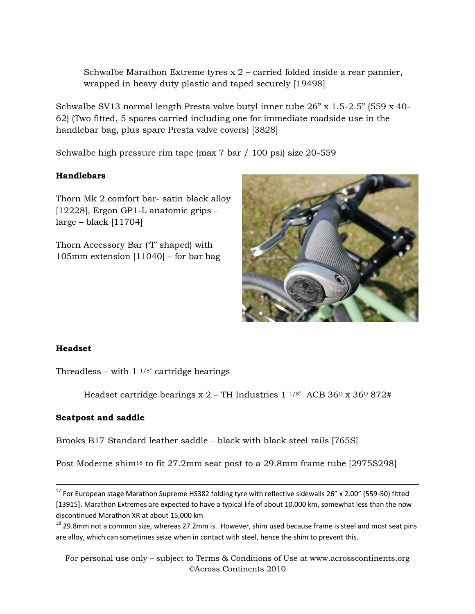Schwalbe Marathon Extreme tyres  $x$  2 – carried folded inside a rear pannier, wrapped in heavy duty plastic and taped securely [19498]

Schwalbe SV13 normal length Presta valve butyl inner tube 26" x 1.5-2.5" (559 x 40- 62) (Two fitted, 5 spares carried including one for immediate roadside use in the handlebar bag, plus spare Presta valve covers) [3828]

Schwalbe high pressure rim tape (max 7 bar / 100 psi) size 20-559

# **Handlebars**

Thorn Mk 2 comfort bar- satin black alloy [12228], Ergon GP1-L anatomic grips –  $large - black$  [11704]

Thorn Accessory Bar ('T' shaped) with 105mm extension [11040] – for bar bag



# **Headset**

 $\overline{\phantom{a}}$ 

Threadless – with  $1 \frac{1}{8}$  cartridge bearings

Headset cartridge bearings  $x 2$  – TH Industries 1  $^{1/8}$ " ACB 36<sup>o</sup>  $x 36$ <sup>o</sup> 872#

# **Seatpost and saddle**

Brooks B17 Standard leather saddle – black with black steel rails [765S]

Post Moderne shim<sup>18</sup> to fit 27.2mm seat post to a 29.8mm frame tube [2975S298]

For personal use only – subject to Terms & Conditions of Use at www.acrosscontinents.org ©Across Continents 2010

<sup>&</sup>lt;sup>17</sup> For European stage Marathon Supreme HS382 folding tyre with reflective sidewalls 26" x 2.00" (559-50) fitted [13915]. Marathon Extremes are expected to have a typical life of about 10,000 km, somewhat less than the now discontinued Marathon XR at about 15,000 km

<sup>&</sup>lt;sup>18</sup> 29.8mm not a common size, whereas 27.2mm is. However, shim used because frame is steel and most seat pins are alloy, which can sometimes seize when in contact with steel, hence the shim to prevent this.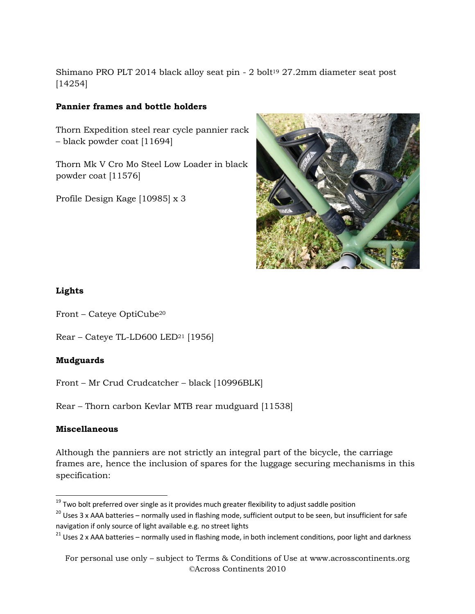Shimano PRO PLT 2014 black alloy seat pin - 2 bolt<sup>19</sup> 27.2mm diameter seat post [14254]

# **Pannier frames and bottle holders**

Thorn Expedition steel rear cycle pannier rack – black powder coat [11694]

Thorn Mk V Cro Mo Steel Low Loader in black powder coat [11576]

Profile Design Kage [10985] x 3



## **Lights**

- Front Cateye OptiCube<sup>20</sup>
- Rear Cateye TL-LD600 LED<sup>21</sup> [1956]

# **Mudguards**

Front – Mr Crud Crudcatcher – black [10996BLK]

Rear – Thorn carbon Kevlar MTB rear mudguard [11538]

### **Miscellaneous**

Although the panniers are not strictly an integral part of the bicycle, the carriage frames are, hence the inclusion of spares for the luggage securing mechanisms in this specification:

 $\overline{\phantom{a}}$  $^{19}$  Two bolt preferred over single as it provides much greater flexibility to adjust saddle position

 $20$  Uses 3 x AAA batteries – normally used in flashing mode, sufficient output to be seen, but insufficient for safe navigation if only source of light available e.g. no street lights

<sup>&</sup>lt;sup>21</sup> Uses 2 x AAA batteries – normally used in flashing mode, in both inclement conditions, poor light and darkness

For personal use only – subject to Terms & Conditions of Use at www.acrosscontinents.org ©Across Continents 2010